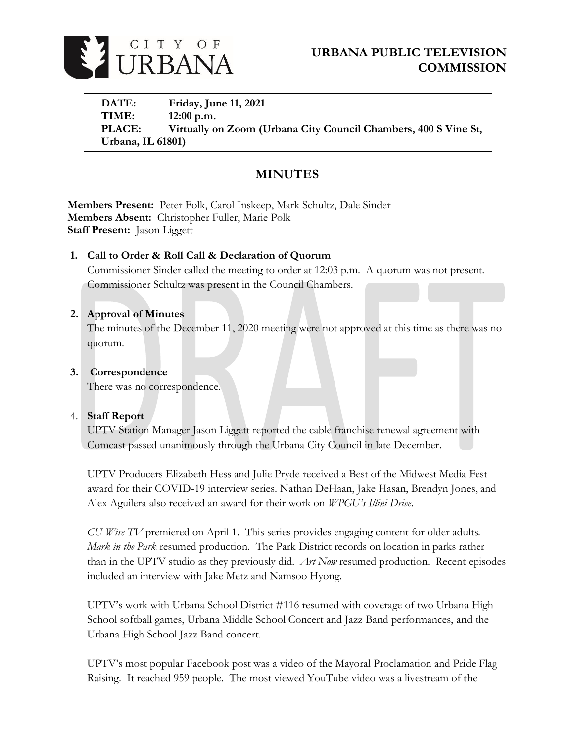

**DATE: Friday, June 11, 2021 TIME: 12:00 p.m. PLACE: Virtually on Zoom (Urbana City Council Chambers, 400 S Vine St, Urbana, IL 61801)**

# **MINUTES**

**Members Present:** Peter Folk, Carol Inskeep, Mark Schultz, Dale Sinder **Members Absent:** Christopher Fuller, Marie Polk **Staff Present:** Jason Liggett

# **1. Call to Order & Roll Call & Declaration of Quorum**

Commissioner Sinder called the meeting to order at 12:03 p.m. A quorum was not present. Commissioner Schultz was present in the Council Chambers.

## **2. Approval of Minutes**

The minutes of the December 11, 2020 meeting were not approved at this time as there was no quorum.

## **3. Correspondence**

There was no correspondence.

## 4. **Staff Report**

UPTV Station Manager Jason Liggett reported the cable franchise renewal agreement with Comcast passed unanimously through the Urbana City Council in late December.

UPTV Producers Elizabeth Hess and Julie Pryde received a Best of the Midwest Media Fest award for their COVID-19 interview series. Nathan DeHaan, Jake Hasan, Brendyn Jones, and Alex Aguilera also received an award for their work on *WPGU's Illini Drive*.

*CU Wise TV* premiered on April 1. This series provides engaging content for older adults. *Mark in the Park* resumed production. The Park District records on location in parks rather than in the UPTV studio as they previously did. *Art Now* resumed production. Recent episodes included an interview with Jake Metz and Namsoo Hyong.

UPTV's work with Urbana School District #116 resumed with coverage of two Urbana High School softball games, Urbana Middle School Concert and Jazz Band performances, and the Urbana High School Jazz Band concert.

UPTV's most popular Facebook post was a video of the Mayoral Proclamation and Pride Flag Raising. It reached 959 people. The most viewed YouTube video was a livestream of the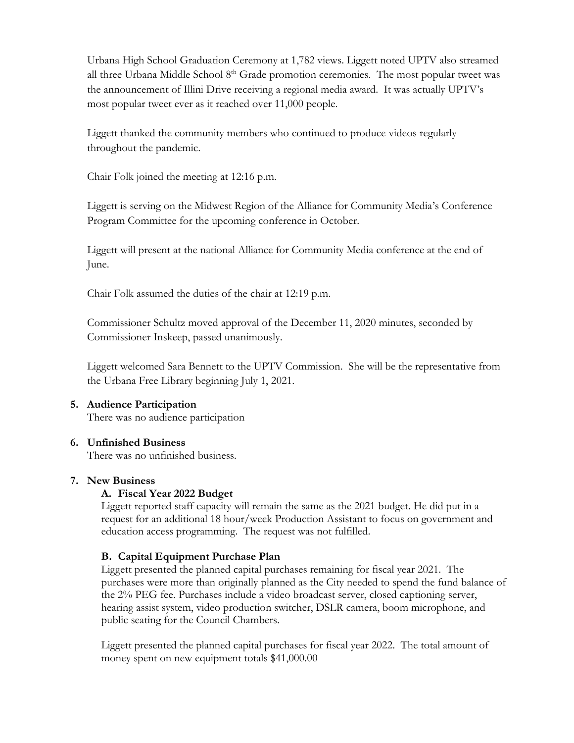Urbana High School Graduation Ceremony at 1,782 views. Liggett noted UPTV also streamed all three Urbana Middle School 8<sup>th</sup> Grade promotion ceremonies. The most popular tweet was the announcement of Illini Drive receiving a regional media award. It was actually UPTV's most popular tweet ever as it reached over 11,000 people.

Liggett thanked the community members who continued to produce videos regularly throughout the pandemic.

Chair Folk joined the meeting at 12:16 p.m.

Liggett is serving on the Midwest Region of the Alliance for Community Media's Conference Program Committee for the upcoming conference in October.

Liggett will present at the national Alliance for Community Media conference at the end of June.

Chair Folk assumed the duties of the chair at 12:19 p.m.

Commissioner Schultz moved approval of the December 11, 2020 minutes, seconded by Commissioner Inskeep, passed unanimously.

Liggett welcomed Sara Bennett to the UPTV Commission. She will be the representative from the Urbana Free Library beginning July 1, 2021.

# **5. Audience Participation**

There was no audience participation

## **6. Unfinished Business**

There was no unfinished business.

#### **7. New Business**

#### **A. Fiscal Year 2022 Budget**

Liggett reported staff capacity will remain the same as the 2021 budget. He did put in a request for an additional 18 hour/week Production Assistant to focus on government and education access programming. The request was not fulfilled.

#### **B. Capital Equipment Purchase Plan**

Liggett presented the planned capital purchases remaining for fiscal year 2021. The purchases were more than originally planned as the City needed to spend the fund balance of the 2% PEG fee. Purchases include a video broadcast server, closed captioning server, hearing assist system, video production switcher, DSLR camera, boom microphone, and public seating for the Council Chambers.

Liggett presented the planned capital purchases for fiscal year 2022. The total amount of money spent on new equipment totals \$41,000.00